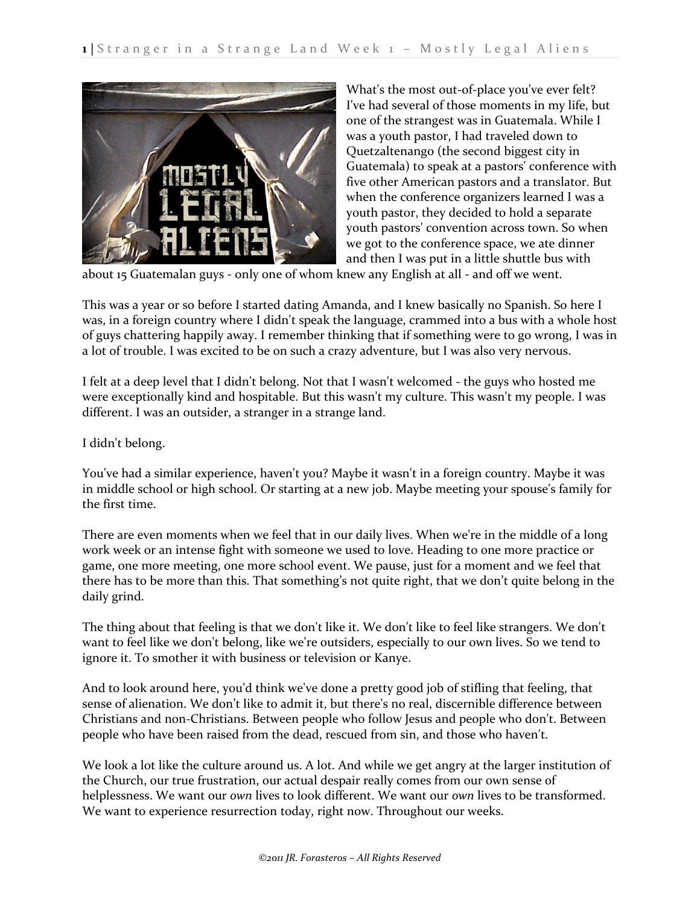

What's the most out-of-place you've ever felt? I've had several of those moments in my life, but one of the strangest was in Guatemala. While I was a youth pastor, I had traveled down to Quetzaltenango (the second biggest city in Guatemala) to speak at a pastors' conference with five other American pastors and a translator. But when the conference organizers learned I was a youth pastor, they decided to hold a separate youth pastors' convention across town. So when we got to the conference space, we ate dinner and then I was put in a little shuttle bus with

about 15 Guatemalan guys - only one of whom knew any English at all - and off we went.

This was a year or so before I started dating Amanda, and I knew basically no Spanish. So here I was, in a foreign country where I didn't speak the language, crammed into a bus with a whole host of guys chattering happily away. I remember thinking that if something were to go wrong, I was in a lot of trouble. I was excited to be on such a crazy adventure, but I was also very nervous.

I felt at a deep level that I didn't belong. Not that I wasn't welcomed - the guys who hosted me were exceptionally kind and hospitable. But this wasn't my culture. This wasn't my people. I was different. I was an outsider, a stranger in a strange land.

I didn't belong.

You've had a similar experience, haven't you? Maybe it wasn't in a foreign country. Maybe it was in middle school or high school. Or starting at a new job. Maybe meeting your spouse's family for the first time.

There are even moments when we feel that in our daily lives. When we're in the middle of a long work week or an intense fight with someone we used to love. Heading to one more practice or game, one more meeting, one more school event. We pause, just for a moment and we feel that there has to be more than this. That something's not quite right, that we don't quite belong in the daily grind.

The thing about that feeling is that we don't like it. We don't like to feel like strangers. We don't want to feel like we don't belong, like we're outsiders, especially to our own lives. So we tend to ignore it. To smother it with business or television or Kanye.

And to look around here, you'd think we've done a pretty good job of stifling that feeling, that sense of alienation. We don't like to admit it, but there's no real, discernible difference between Christians and non-Christians. Between people who follow Jesus and people who don't. Between people who have been raised from the dead, rescued from sin, and those who haven't.

We look a lot like the culture around us. A lot. And while we get angry at the larger institution of the Church, our true frustration, our actual despair really comes from our own sense of helplessness. We want our *own* lives to look different. We want our *own* lives to be transformed. We want to experience resurrection today, right now. Throughout our weeks.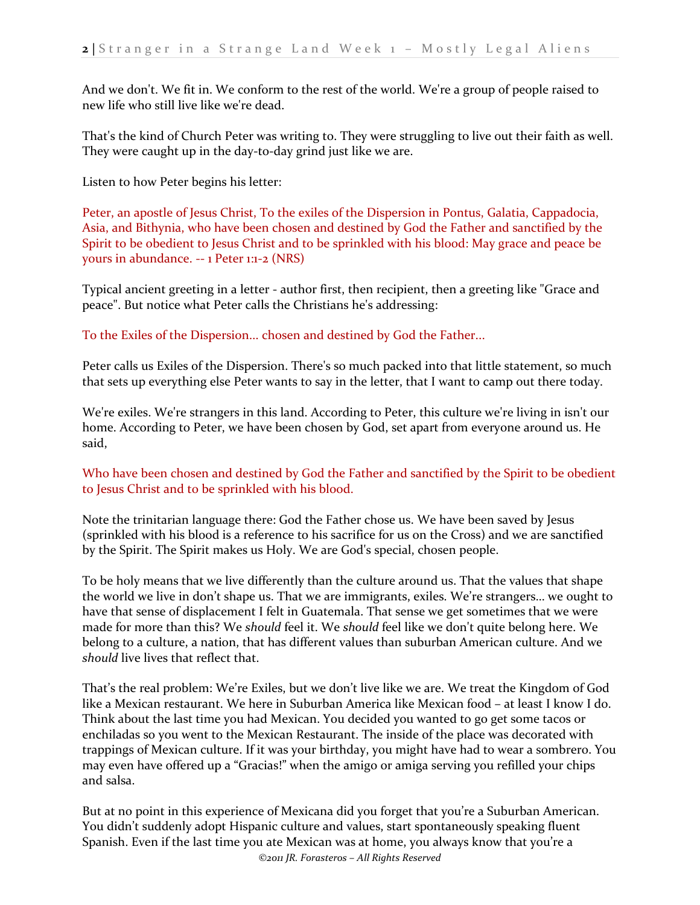And we don't. We fit in. We conform to the rest of the world. We're a group of people raised to new life who still live like we're dead.

That's the kind of Church Peter was writing to. They were struggling to live out their faith as well. They were caught up in the day-to-day grind just like we are.

Listen to how Peter begins his letter:

Peter, an apostle of Jesus Christ, To the exiles of the Dispersion in Pontus, Galatia, Cappadocia, Asia, and Bithynia, who have been chosen and destined by God the Father and sanctified by the Spirit to be obedient to Jesus Christ and to be sprinkled with his blood: May grace and peace be yours in abundance. -- 1 Peter 1:1-2 (NRS)

Typical ancient greeting in a letter - author first, then recipient, then a greeting like "Grace and peace". But notice what Peter calls the Christians he's addressing:

To the Exiles of the Dispersion... chosen and destined by God the Father...

Peter calls us Exiles of the Dispersion. There's so much packed into that little statement, so much that sets up everything else Peter wants to say in the letter, that I want to camp out there today.

We're exiles. We're strangers in this land. According to Peter, this culture we're living in isn't our home. According to Peter, we have been chosen by God, set apart from everyone around us. He said,

## Who have been chosen and destined by God the Father and sanctified by the Spirit to be obedient to Jesus Christ and to be sprinkled with his blood.

Note the trinitarian language there: God the Father chose us. We have been saved by Jesus (sprinkled with his blood is a reference to his sacrifice for us on the Cross) and we are sanctified by the Spirit. The Spirit makes us Holy. We are God's special, chosen people.

To be holy means that we live differently than the culture around us. That the values that shape the world we live in don't shape us. That we are immigrants, exiles. We're strangers… we ought to have that sense of displacement I felt in Guatemala. That sense we get sometimes that we were made for more than this? We *should* feel it. We *should* feel like we don't quite belong here. We belong to a culture, a nation, that has different values than suburban American culture. And we *should* live lives that reflect that.

That's the real problem: We're Exiles, but we don't live like we are. We treat the Kingdom of God like a Mexican restaurant. We here in Suburban America like Mexican food – at least I know I do. Think about the last time you had Mexican. You decided you wanted to go get some tacos or enchiladas so you went to the Mexican Restaurant. The inside of the place was decorated with trappings of Mexican culture. If it was your birthday, you might have had to wear a sombrero. You may even have offered up a "Gracias!" when the amigo or amiga serving you refilled your chips and salsa.

But at no point in this experience of Mexicana did you forget that you're a Suburban American. You didn't suddenly adopt Hispanic culture and values, start spontaneously speaking fluent Spanish. Even if the last time you ate Mexican was at home, you always know that you're a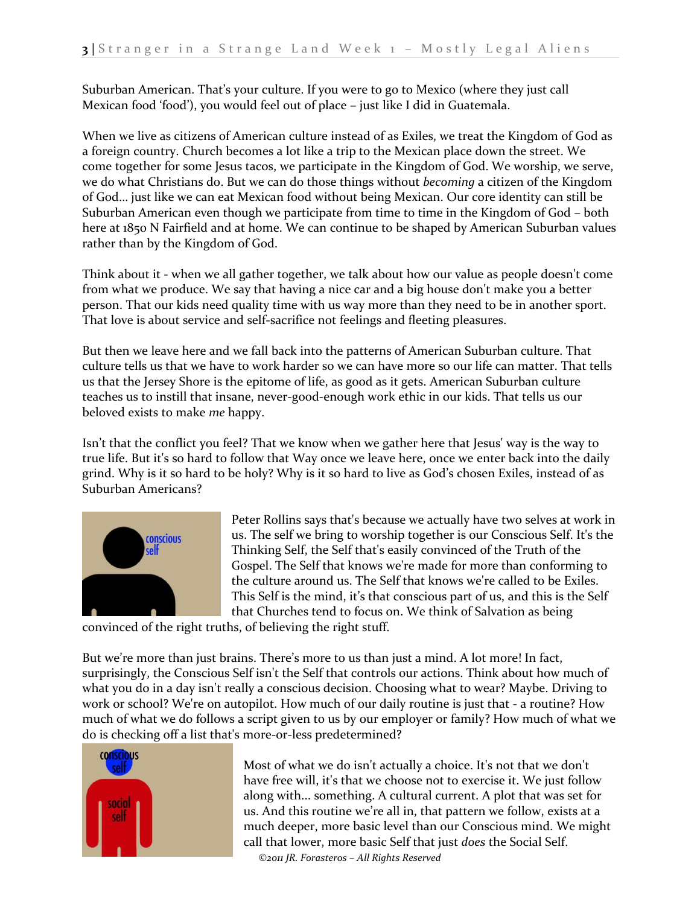Suburban American. That's your culture. If you were to go to Mexico (where they just call Mexican food 'food'), you would feel out of place – just like I did in Guatemala.

When we live as citizens of American culture instead of as Exiles, we treat the Kingdom of God as a foreign country. Church becomes a lot like a trip to the Mexican place down the street. We come together for some Jesus tacos, we participate in the Kingdom of God. We worship, we serve, we do what Christians do. But we can do those things without *becoming* a citizen of the Kingdom of God… just like we can eat Mexican food without being Mexican. Our core identity can still be Suburban American even though we participate from time to time in the Kingdom of God – both here at 1850 N Fairfield and at home. We can continue to be shaped by American Suburban values rather than by the Kingdom of God.

Think about it - when we all gather together, we talk about how our value as people doesn't come from what we produce. We say that having a nice car and a big house don't make you a better person. That our kids need quality time with us way more than they need to be in another sport. That love is about service and self-sacrifice not feelings and fleeting pleasures.

But then we leave here and we fall back into the patterns of American Suburban culture. That culture tells us that we have to work harder so we can have more so our life can matter. That tells us that the Jersey Shore is the epitome of life, as good as it gets. American Suburban culture teaches us to instill that insane, never-good-enough work ethic in our kids. That tells us our beloved exists to make *me* happy.

Isn't that the conflict you feel? That we know when we gather here that Jesus' way is the way to true life. But it's so hard to follow that Way once we leave here, once we enter back into the daily grind. Why is it so hard to be holy? Why is it so hard to live as God's chosen Exiles, instead of as Suburban Americans?



Peter Rollins says that's because we actually have two selves at work in us. The self we bring to worship together is our Conscious Self. It's the Thinking Self, the Self that's easily convinced of the Truth of the Gospel. The Self that knows we're made for more than conforming to the culture around us. The Self that knows we're called to be Exiles. This Self is the mind, it's that conscious part of us, and this is the Self that Churches tend to focus on. We think of Salvation as being

convinced of the right truths, of believing the right stuff.

But we're more than just brains. There's more to us than just a mind. A lot more! In fact, surprisingly, the Conscious Self isn't the Self that controls our actions. Think about how much of what you do in a day isn't really a conscious decision. Choosing what to wear? Maybe. Driving to work or school? We're on autopilot. How much of our daily routine is just that - a routine? How much of what we do follows a script given to us by our employer or family? How much of what we do is checking off a list that's more-or-less predetermined?



Most of what we do isn't actually a choice. It's not that we don't have free will, it's that we choose not to exercise it. We just follow along with... something. A cultural current. A plot that was set for us. And this routine we're all in, that pattern we follow, exists at a much deeper, more basic level than our Conscious mind. We might call that lower, more basic Self that just *does* the Social Self.

*©2011 JR. Forasteros – All Rights Reserved*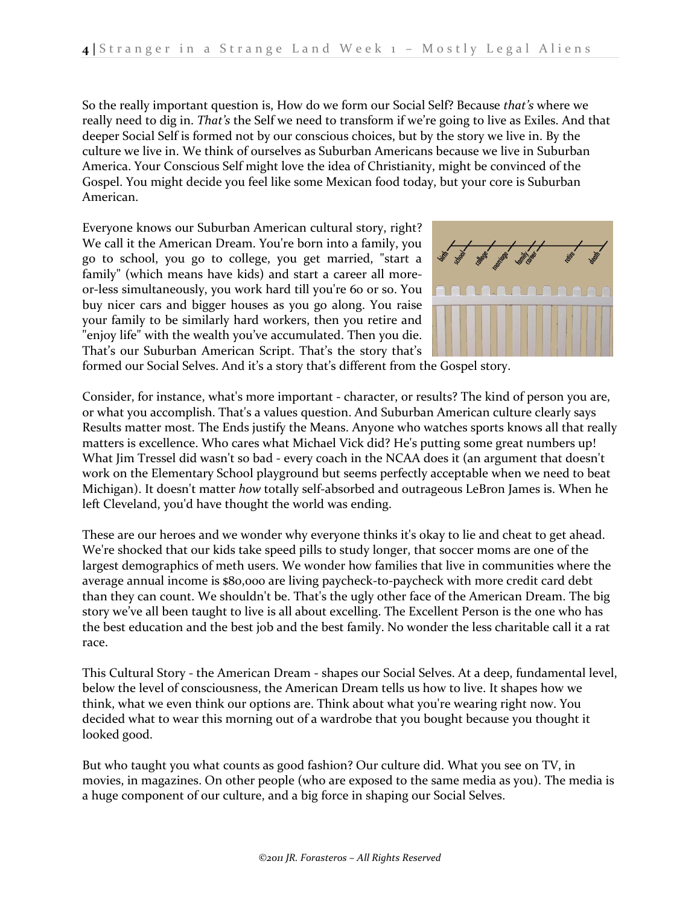So the really important question is, How do we form our Social Self? Because *that's* where we really need to dig in. *That's* the Self we need to transform if we're going to live as Exiles. And that deeper Social Self is formed not by our conscious choices, but by the story we live in. By the culture we live in. We think of ourselves as Suburban Americans because we live in Suburban America. Your Conscious Self might love the idea of Christianity, might be convinced of the Gospel. You might decide you feel like some Mexican food today, but your core is Suburban American.

Everyone knows our Suburban American cultural story, right? We call it the American Dream. You're born into a family, you go to school, you go to college, you get married, "start a family" (which means have kids) and start a career all moreor-less simultaneously, you work hard till you're 60 or so. You buy nicer cars and bigger houses as you go along. You raise your family to be similarly hard workers, then you retire and "enjoy life" with the wealth you've accumulated. Then you die. That's our Suburban American Script. That's the story that's



formed our Social Selves. And it's a story that's different from the Gospel story.

Consider, for instance, what's more important - character, or results? The kind of person you are, or what you accomplish. That's a values question. And Suburban American culture clearly says Results matter most. The Ends justify the Means. Anyone who watches sports knows all that really matters is excellence. Who cares what Michael Vick did? He's putting some great numbers up! What Jim Tressel did wasn't so bad - every coach in the NCAA does it (an argument that doesn't work on the Elementary School playground but seems perfectly acceptable when we need to beat Michigan). It doesn't matter *how* totally self-absorbed and outrageous LeBron James is. When he left Cleveland, you'd have thought the world was ending.

These are our heroes and we wonder why everyone thinks it's okay to lie and cheat to get ahead. We're shocked that our kids take speed pills to study longer, that soccer moms are one of the largest demographics of meth users. We wonder how families that live in communities where the average annual income is \$80,000 are living paycheck-to-paycheck with more credit card debt than they can count. We shouldn't be. That's the ugly other face of the American Dream. The big story we've all been taught to live is all about excelling. The Excellent Person is the one who has the best education and the best job and the best family. No wonder the less charitable call it a rat race.

This Cultural Story - the American Dream - shapes our Social Selves. At a deep, fundamental level, below the level of consciousness, the American Dream tells us how to live. It shapes how we think, what we even think our options are. Think about what you're wearing right now. You decided what to wear this morning out of a wardrobe that you bought because you thought it looked good.

But who taught you what counts as good fashion? Our culture did. What you see on TV, in movies, in magazines. On other people (who are exposed to the same media as you). The media is a huge component of our culture, and a big force in shaping our Social Selves.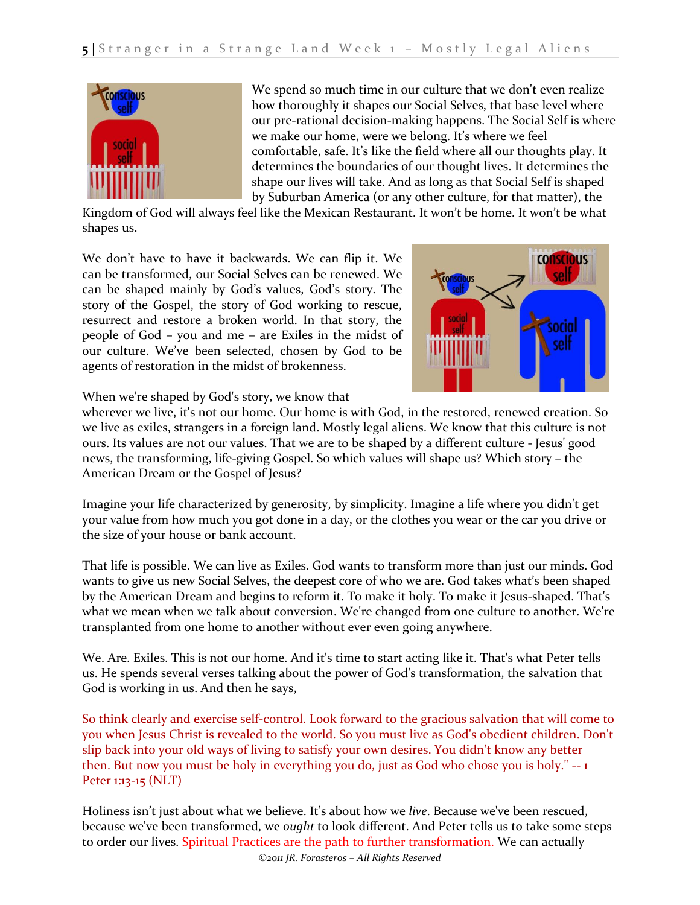

We spend so much time in our culture that we don't even realize how thoroughly it shapes our Social Selves, that base level where our pre-rational decision-making happens. The Social Self is where we make our home, were we belong. It's where we feel comfortable, safe. It's like the field where all our thoughts play. It determines the boundaries of our thought lives. It determines the shape our lives will take. And as long as that Social Self is shaped by Suburban America (or any other culture, for that matter), the

Kingdom of God will always feel like the Mexican Restaurant. It won't be home. It won't be what shapes us.

We don't have to have it backwards. We can flip it. We can be transformed, our Social Selves can be renewed. We can be shaped mainly by God's values, God's story. The story of the Gospel, the story of God working to rescue, resurrect and restore a broken world. In that story, the people of God – you and me – are Exiles in the midst of our culture. We've been selected, chosen by God to be agents of restoration in the midst of brokenness.



When we're shaped by God's story, we know that

wherever we live, it's not our home. Our home is with God, in the restored, renewed creation. So we live as exiles, strangers in a foreign land. Mostly legal aliens. We know that this culture is not ours. Its values are not our values. That we are to be shaped by a different culture - Jesus' good news, the transforming, life-giving Gospel. So which values will shape us? Which story – the American Dream or the Gospel of Jesus?

Imagine your life characterized by generosity, by simplicity. Imagine a life where you didn't get your value from how much you got done in a day, or the clothes you wear or the car you drive or the size of your house or bank account.

That life is possible. We can live as Exiles. God wants to transform more than just our minds. God wants to give us new Social Selves, the deepest core of who we are. God takes what's been shaped by the American Dream and begins to reform it. To make it holy. To make it Jesus-shaped. That's what we mean when we talk about conversion. We're changed from one culture to another. We're transplanted from one home to another without ever even going anywhere.

We. Are. Exiles. This is not our home. And it's time to start acting like it. That's what Peter tells us. He spends several verses talking about the power of God's transformation, the salvation that God is working in us. And then he says,

So think clearly and exercise self-control. Look forward to the gracious salvation that will come to you when Jesus Christ is revealed to the world. So you must live as God's obedient children. Don't slip back into your old ways of living to satisfy your own desires. You didn't know any better then. But now you must be holy in everything you do, just as God who chose you is holy." -- 1 Peter 1:13-15 (NLT)

Holiness isn't just about what we believe. It's about how we *live*. Because we've been rescued, because we've been transformed, we *ought* to look different. And Peter tells us to take some steps to order our lives. Spiritual Practices are the path to further transformation. We can actually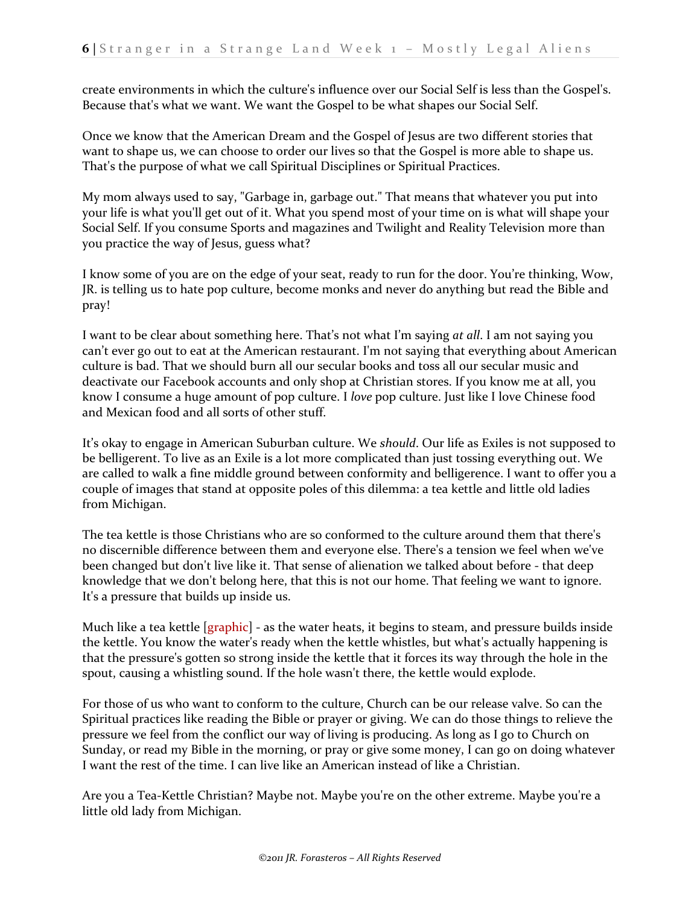create environments in which the culture's influence over our Social Self is less than the Gospel's. Because that's what we want. We want the Gospel to be what shapes our Social Self.

Once we know that the American Dream and the Gospel of Jesus are two different stories that want to shape us, we can choose to order our lives so that the Gospel is more able to shape us. That's the purpose of what we call Spiritual Disciplines or Spiritual Practices.

My mom always used to say, "Garbage in, garbage out." That means that whatever you put into your life is what you'll get out of it. What you spend most of your time on is what will shape your Social Self. If you consume Sports and magazines and Twilight and Reality Television more than you practice the way of Jesus, guess what?

I know some of you are on the edge of your seat, ready to run for the door. You're thinking, Wow, JR. is telling us to hate pop culture, become monks and never do anything but read the Bible and pray!

I want to be clear about something here. That's not what I'm saying *at all*. I am not saying you can't ever go out to eat at the American restaurant. I'm not saying that everything about American culture is bad. That we should burn all our secular books and toss all our secular music and deactivate our Facebook accounts and only shop at Christian stores. If you know me at all, you know I consume a huge amount of pop culture. I *love* pop culture. Just like I love Chinese food and Mexican food and all sorts of other stuff.

It's okay to engage in American Suburban culture. We *should*. Our life as Exiles is not supposed to be belligerent. To live as an Exile is a lot more complicated than just tossing everything out. We are called to walk a fine middle ground between conformity and belligerence. I want to offer you a couple of images that stand at opposite poles of this dilemma: a tea kettle and little old ladies from Michigan.

The tea kettle is those Christians who are so conformed to the culture around them that there's no discernible difference between them and everyone else. There's a tension we feel when we've been changed but don't live like it. That sense of alienation we talked about before - that deep knowledge that we don't belong here, that this is not our home. That feeling we want to ignore. It's a pressure that builds up inside us.

Much like a tea kettle  $[graphic]$  - as the water heats, it begins to steam, and pressure builds inside the kettle. You know the water's ready when the kettle whistles, but what's actually happening is that the pressure's gotten so strong inside the kettle that it forces its way through the hole in the spout, causing a whistling sound. If the hole wasn't there, the kettle would explode.

For those of us who want to conform to the culture, Church can be our release valve. So can the Spiritual practices like reading the Bible or prayer or giving. We can do those things to relieve the pressure we feel from the conflict our way of living is producing. As long as I go to Church on Sunday, or read my Bible in the morning, or pray or give some money, I can go on doing whatever I want the rest of the time. I can live like an American instead of like a Christian.

Are you a Tea-Kettle Christian? Maybe not. Maybe you're on the other extreme. Maybe you're a little old lady from Michigan.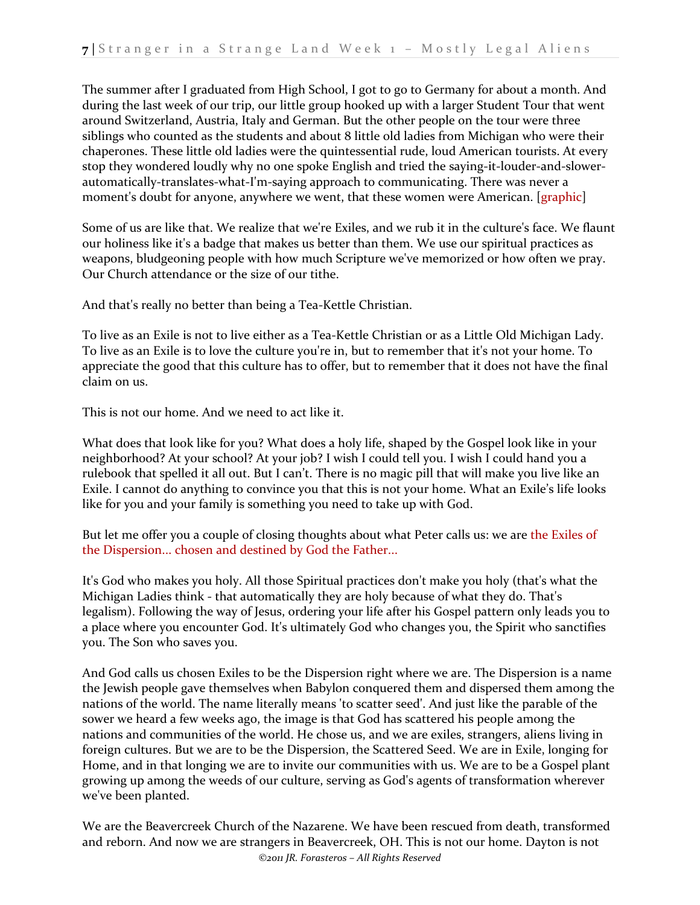The summer after I graduated from High School, I got to go to Germany for about a month. And during the last week of our trip, our little group hooked up with a larger Student Tour that went around Switzerland, Austria, Italy and German. But the other people on the tour were three siblings who counted as the students and about 8 little old ladies from Michigan who were their chaperones. These little old ladies were the quintessential rude, loud American tourists. At every stop they wondered loudly why no one spoke English and tried the saying-it-louder-and-slowerautomatically-translates-what-I'm-saying approach to communicating. There was never a moment's doubt for anyone, anywhere we went, that these women were American. [graphic]

Some of us are like that. We realize that we're Exiles, and we rub it in the culture's face. We flaunt our holiness like it's a badge that makes us better than them. We use our spiritual practices as weapons, bludgeoning people with how much Scripture we've memorized or how often we pray. Our Church attendance or the size of our tithe.

And that's really no better than being a Tea-Kettle Christian.

To live as an Exile is not to live either as a Tea-Kettle Christian or as a Little Old Michigan Lady. To live as an Exile is to love the culture you're in, but to remember that it's not your home. To appreciate the good that this culture has to offer, but to remember that it does not have the final claim on us.

This is not our home. And we need to act like it.

What does that look like for you? What does a holy life, shaped by the Gospel look like in your neighborhood? At your school? At your job? I wish I could tell you. I wish I could hand you a rulebook that spelled it all out. But I can't. There is no magic pill that will make you live like an Exile. I cannot do anything to convince you that this is not your home. What an Exile's life looks like for you and your family is something you need to take up with God.

But let me offer you a couple of closing thoughts about what Peter calls us: we are the Exiles of the Dispersion... chosen and destined by God the Father...

It's God who makes you holy. All those Spiritual practices don't make you holy (that's what the Michigan Ladies think - that automatically they are holy because of what they do. That's legalism). Following the way of Jesus, ordering your life after his Gospel pattern only leads you to a place where you encounter God. It's ultimately God who changes you, the Spirit who sanctifies you. The Son who saves you.

And God calls us chosen Exiles to be the Dispersion right where we are. The Dispersion is a name the Jewish people gave themselves when Babylon conquered them and dispersed them among the nations of the world. The name literally means 'to scatter seed'. And just like the parable of the sower we heard a few weeks ago, the image is that God has scattered his people among the nations and communities of the world. He chose us, and we are exiles, strangers, aliens living in foreign cultures. But we are to be the Dispersion, the Scattered Seed. We are in Exile, longing for Home, and in that longing we are to invite our communities with us. We are to be a Gospel plant growing up among the weeds of our culture, serving as God's agents of transformation wherever we've been planted.

*©2011 JR. Forasteros – All Rights Reserved* We are the Beavercreek Church of the Nazarene. We have been rescued from death, transformed and reborn. And now we are strangers in Beavercreek, OH. This is not our home. Dayton is not